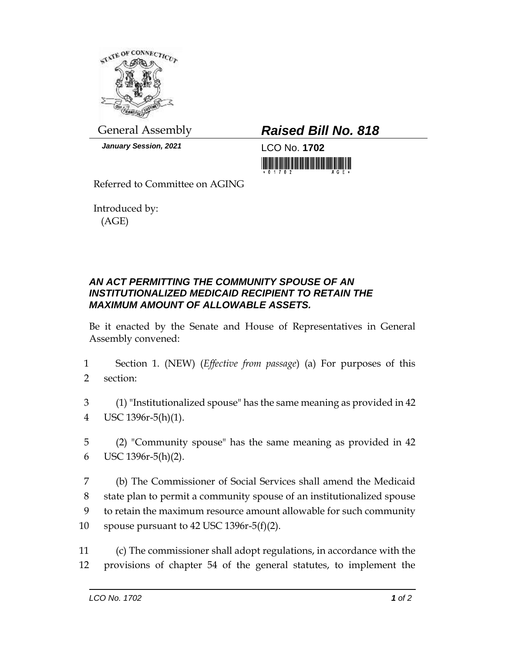

*January Session, 2021* LCO No. **1702**

General Assembly *Raised Bill No. 818*

<u>Tin in in in in in man mann</u>

Referred to Committee on AGING

Introduced by: (AGE)

## *AN ACT PERMITTING THE COMMUNITY SPOUSE OF AN INSTITUTIONALIZED MEDICAID RECIPIENT TO RETAIN THE MAXIMUM AMOUNT OF ALLOWABLE ASSETS.*

Be it enacted by the Senate and House of Representatives in General Assembly convened:

- 1 Section 1. (NEW) (*Effective from passage*) (a) For purposes of this 2 section:
- 3 (1) "Institutionalized spouse" has the same meaning as provided in 42 4 USC 1396r-5(h)(1).
- 5 (2) "Community spouse" has the same meaning as provided in 42 6 USC 1396r-5(h)(2).
- 7 (b) The Commissioner of Social Services shall amend the Medicaid 8 state plan to permit a community spouse of an institutionalized spouse 9 to retain the maximum resource amount allowable for such community 10 spouse pursuant to 42 USC 1396r-5(f)(2).
- 11 (c) The commissioner shall adopt regulations, in accordance with the 12 provisions of chapter 54 of the general statutes, to implement the